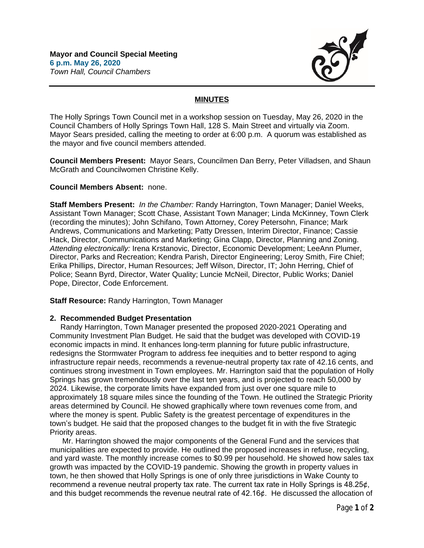

## **MINUTES**

The Holly Springs Town Council met in a workshop session on Tuesday, May 26, 2020 in the Council Chambers of Holly Springs Town Hall, 128 S. Main Street and virtually via Zoom. Mayor Sears presided, calling the meeting to order at 6:00 p.m. A quorum was established as the mayor and five council members attended.

**Council Members Present:** Mayor Sears, Councilmen Dan Berry, Peter Villadsen, and Shaun McGrath and Councilwomen Christine Kelly.

## **Council Members Absent:** none.

**Staff Members Present:** *In the Chamber:* Randy Harrington, Town Manager; Daniel Weeks, Assistant Town Manager; Scott Chase, Assistant Town Manager; Linda McKinney, Town Clerk (recording the minutes); John Schifano, Town Attorney, Corey Petersohn, Finance; Mark Andrews, Communications and Marketing; Patty Dressen, Interim Director, Finance; Cassie Hack, Director, Communications and Marketing; Gina Clapp, Director, Planning and Zoning. *Attending electronically:* Irena Krstanovic, Director, Economic Development; LeeAnn Plumer, Director, Parks and Recreation; Kendra Parish, Director Engineering; Leroy Smith, Fire Chief; Erika Phillips, Director, Human Resources; Jeff Wilson, Director, IT; John Herring, Chief of Police; Seann Byrd, Director, Water Quality; Luncie McNeil, Director, Public Works; Daniel Pope, Director, Code Enforcement.

**Staff Resource:** Randy Harrington, Town Manager

## **2. Recommended Budget Presentation**

 Randy Harrington, Town Manager presented the proposed 2020-2021 Operating and Community Investment Plan Budget. He said that the budget was developed with COVID-19 economic impacts in mind. It enhances long-term planning for future public infrastructure, redesigns the Stormwater Program to address fee inequities and to better respond to aging infrastructure repair needs, recommends a revenue-neutral property tax rate of 42.16 cents, and continues strong investment in Town employees. Mr. Harrington said that the population of Holly Springs has grown tremendously over the last ten years, and is projected to reach 50,000 by 2024. Likewise, the corporate limits have expanded from just over one square mile to approximately 18 square miles since the founding of the Town. He outlined the Strategic Priority areas determined by Council. He showed graphically where town revenues come from, and where the money is spent. Public Safety is the greatest percentage of expenditures in the town's budget. He said that the proposed changes to the budget fit in with the five Strategic Priority areas.

Mr. Harrington showed the major components of the General Fund and the services that municipalities are expected to provide. He outlined the proposed increases in refuse, recycling, and yard waste. The monthly increase comes to \$0.99 per household. He showed how sales tax growth was impacted by the COVID-19 pandemic. Showing the growth in property values in town, he then showed that Holly Springs is one of only three jurisdictions in Wake County to recommend a revenue neutral property tax rate. The current tax rate in Holly Springs is 48.25¢, and this budget recommends the revenue neutral rate of 42.16¢. He discussed the allocation of